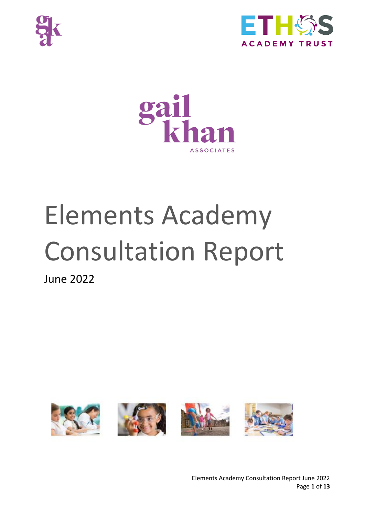





# Elements Academy Consultation Report

June 2022

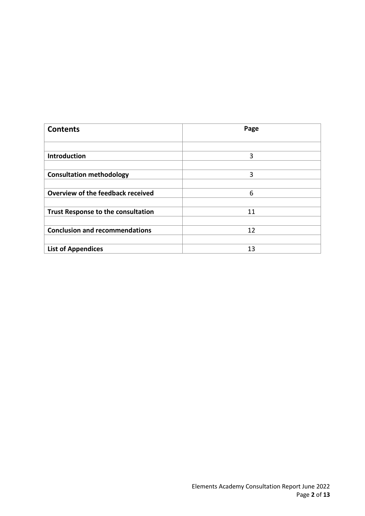| <b>Contents</b>                           | Page |
|-------------------------------------------|------|
|                                           |      |
| Introduction                              | 3    |
|                                           |      |
| <b>Consultation methodology</b>           | 3    |
|                                           |      |
| Overview of the feedback received         | 6    |
|                                           |      |
| <b>Trust Response to the consultation</b> | 11   |
|                                           |      |
| <b>Conclusion and recommendations</b>     | 12   |
|                                           |      |
| <b>List of Appendices</b>                 | 13   |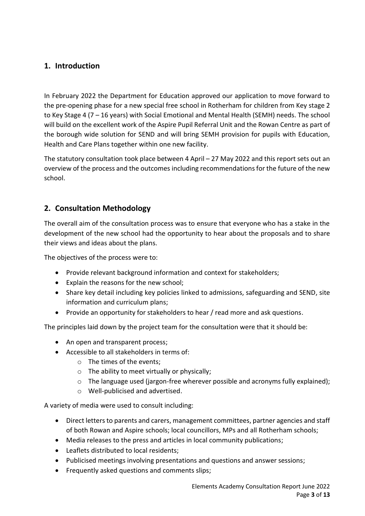# **1. Introduction**

In February 2022 the Department for Education approved our application to move forward to the pre-opening phase for a new special free school in Rotherham for children from Key stage 2 to Key Stage 4 (7 – 16 years) with Social Emotional and Mental Health (SEMH) needs. The school will build on the excellent work of the Aspire Pupil Referral Unit and the Rowan Centre as part of the borough wide solution for SEND and will bring SEMH provision for pupils with Education, Health and Care Plans together within one new facility.

The statutory consultation took place between 4 April – 27 May 2022 and this report sets out an overview of the process and the outcomes including recommendations for the future of the new school.

# **2. Consultation Methodology**

The overall aim of the consultation process was to ensure that everyone who has a stake in the development of the new school had the opportunity to hear about the proposals and to share their views and ideas about the plans.

The objectives of the process were to:

- Provide relevant background information and context for stakeholders;
- Explain the reasons for the new school;
- Share key detail including key policies linked to admissions, safeguarding and SEND, site information and curriculum plans;
- Provide an opportunity for stakeholders to hear / read more and ask questions.

The principles laid down by the project team for the consultation were that it should be:

- An open and transparent process;
- Accessible to all stakeholders in terms of:
	- o The times of the events;
	- $\circ$  The ability to meet virtually or physically;
	- $\circ$  The language used (jargon-free wherever possible and acronyms fully explained);
	- o Well-publicised and advertised.

A variety of media were used to consult including:

- Direct letters to parents and carers, management committees, partner agencies and staff of both Rowan and Aspire schools; local councillors, MPs and all Rotherham schools;
- Media releases to the press and articles in local community publications;
- Leaflets distributed to local residents;
- Publicised meetings involving presentations and questions and answer sessions;
- Frequently asked questions and comments slips;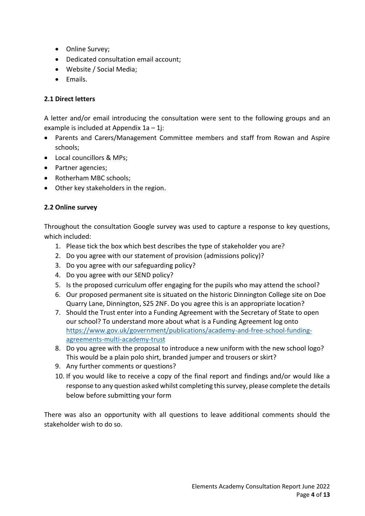- Online Survey;
- Dedicated consultation email account;
- Website / Social Media;
- Emails.

### **2.1 Direct letters**

A letter and/or email introducing the consultation were sent to the following groups and an example is included at Appendix  $1a - 1$ j:

- Parents and Carers/Management Committee members and staff from Rowan and Aspire schools;
- Local councillors & MPs;
- Partner agencies;
- Rotherham MBC schools:
- Other key stakeholders in the region.

## **2.2 Online survey**

Throughout the consultation Google survey was used to capture a response to key questions, which included:

- 1. Please tick the box which best describes the type of stakeholder you are?
- 2. Do you agree with our statement of provision (admissions policy)?
- 3. Do you agree with our safeguarding policy?
- 4. Do you agree with our SEND policy?
- 5. Is the proposed curriculum offer engaging for the pupils who may attend the school?
- 6. Our proposed permanent site is situated on the historic Dinnington College site on Doe Quarry Lane, Dinnington, S25 2NF. Do you agree this is an appropriate location?
- 7. Should the Trust enter into a Funding Agreement with the Secretary of State to open our school? To understand more about what is a Funding Agreement log onto [https://www.gov.uk/government/publications/academy-and-free-school-funding](https://www.gov.uk/government/publications/academy-and-free-school-funding-agreements-multi-academy-trust)[agreements-multi-academy-trust](https://www.gov.uk/government/publications/academy-and-free-school-funding-agreements-multi-academy-trust)
- 8. Do you agree with the proposal to introduce a new uniform with the new school logo? This would be a plain polo shirt, branded jumper and trousers or skirt?
- 9. Any further comments or questions?
- 10. If you would like to receive a copy of the final report and findings and/or would like a response to any question asked whilst completing this survey, please complete the details below before submitting your form

There was also an opportunity with all questions to leave additional comments should the stakeholder wish to do so.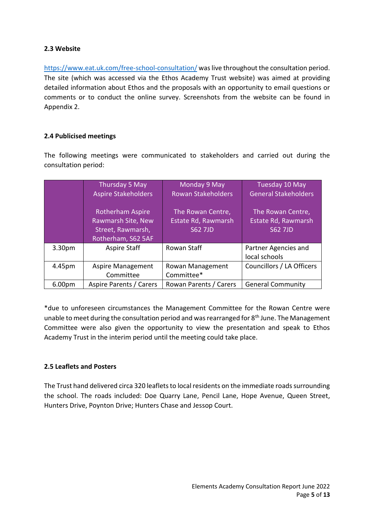#### **2.3 Website**

<https://www.eat.uk.com/free-school-consultation/> was live throughout the consultation period. The site (which was accessed via the Ethos Academy Trust website) was aimed at providing detailed information about Ethos and the proposals with an opportunity to email questions or comments or to conduct the online survey. Screenshots from the website can be found in Appendix 2.

#### **2.4 Publicised meetings**

The following meetings were communicated to stakeholders and carried out during the consultation period:

|                    | Thursday 5 May                                                                           | Monday 9 May                                               | Tuesday 10 May                                             |
|--------------------|------------------------------------------------------------------------------------------|------------------------------------------------------------|------------------------------------------------------------|
|                    | <b>Aspire Stakeholders</b>                                                               | <b>Rowan Stakeholders</b>                                  | <b>General Stakeholders</b>                                |
|                    | <b>Rotherham Aspire</b><br>Rawmarsh Site, New<br>Street, Rawmarsh,<br>Rotherham, S62 5AF | The Rowan Centre,<br>Estate Rd, Rawmarsh<br><b>S62 7JD</b> | The Rowan Centre,<br>Estate Rd, Rawmarsh<br><b>S62 7JD</b> |
| 3.30 <sub>pm</sub> | Aspire Staff                                                                             | Rowan Staff                                                | Partner Agencies and<br>local schools                      |
| 4.45pm             | <b>Aspire Management</b><br>Committee                                                    | Rowan Management<br>Committee*                             | Councillors / LA Officers                                  |
| 6.00 <sub>pm</sub> | Aspire Parents / Carers                                                                  | Rowan Parents / Carers                                     | <b>General Community</b>                                   |

\*due to unforeseen circumstances the Management Committee for the Rowan Centre were unable to meet during the consultation period and was rearranged for 8<sup>th</sup> June. The Management Committee were also given the opportunity to view the presentation and speak to Ethos Academy Trust in the interim period until the meeting could take place.

#### **2.5 Leaflets and Posters**

The Trust hand delivered circa 320 leaflets to local residents on the immediate roads surrounding the school. The roads included: Doe Quarry Lane, Pencil Lane, Hope Avenue, Queen Street, Hunters Drive, Poynton Drive; Hunters Chase and Jessop Court.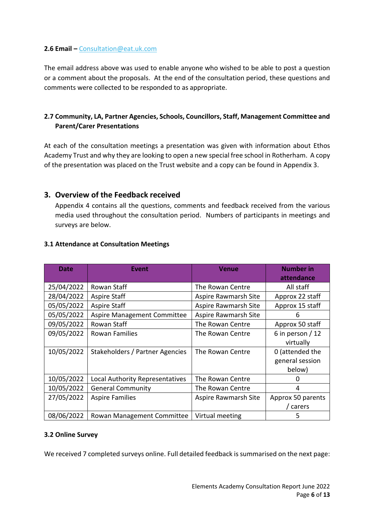#### **2.6 Email –** [Consultation@eat.uk.com](mailto:Consultation@eat.uk.com)

The email address above was used to enable anyone who wished to be able to post a question or a comment about the proposals. At the end of the consultation period, these questions and comments were collected to be responded to as appropriate.

## **2.7 Community, LA, Partner Agencies, Schools, Councillors, Staff, Management Committee and Parent/Carer Presentations**

At each of the consultation meetings a presentation was given with information about Ethos Academy Trust and why they are looking to open a new special free school in Rotherham. A copy of the presentation was placed on the Trust website and a copy can be found in Appendix 3.

## **3. Overview of the Feedback received**

Appendix 4 contains all the questions, comments and feedback received from the various media used throughout the consultation period. Numbers of participants in meetings and surveys are below.

| <b>Date</b> | <b>Event</b>                    | <b>Venue</b>         | <b>Number in</b><br>attendance |
|-------------|---------------------------------|----------------------|--------------------------------|
| 25/04/2022  | Rowan Staff                     | The Rowan Centre     | All staff                      |
| 28/04/2022  | <b>Aspire Staff</b>             | Aspire Rawmarsh Site | Approx 22 staff                |
| 05/05/2022  | <b>Aspire Staff</b>             | Aspire Rawmarsh Site | Approx 15 staff                |
| 05/05/2022  | Aspire Management Committee     | Aspire Rawmarsh Site | 6                              |
| 09/05/2022  | Rowan Staff                     | The Rowan Centre     | Approx 50 staff                |
| 09/05/2022  | Rowan Families                  | The Rowan Centre     | 6 in person $/12$              |
|             |                                 |                      | virtually                      |
| 10/05/2022  | Stakeholders / Partner Agencies | The Rowan Centre     | 0 (attended the                |
|             |                                 |                      | general session                |
|             |                                 |                      | below)                         |
| 10/05/2022  | Local Authority Representatives | The Rowan Centre     | 0                              |
| 10/05/2022  | <b>General Community</b>        | The Rowan Centre     | 4                              |
| 27/05/2022  | <b>Aspire Families</b>          | Aspire Rawmarsh Site | Approx 50 parents              |
|             |                                 |                      | carers                         |
| 08/06/2022  | Rowan Management Committee      | Virtual meeting      | 5                              |

#### **3.1 Attendance at Consultation Meetings**

#### **3.2 Online Survey**

We received 7 completed surveys online. Full detailed feedback is summarised on the next page: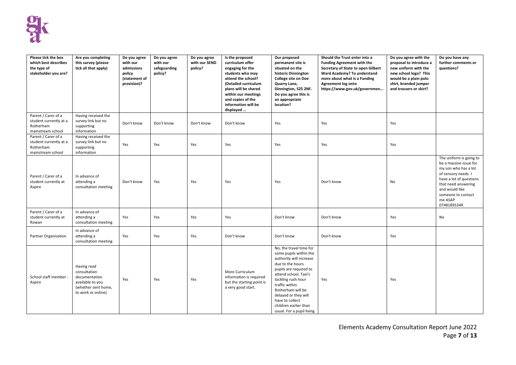

| Please tick the box<br>which best describes<br>the type of<br>stakeholder you are? | Are you completing<br>this survey (please<br>tick all that apply)                                             | Do you agree<br>with our<br>admissions<br>policy<br>(statement of<br>provision)? | Do you agree<br>with our<br>safeguarding<br>policy? | Do you agree<br>with our SEND<br>policy? | Is the proposed<br>curriculum offer<br>engaging for the<br>students who may<br>attend the school?<br>(Detailed curriculum<br>plans will be shared<br>within our meetings<br>and copies of the<br>information will be<br>displayed | Our proposed<br>permanent site is<br>situated on the<br>historic Dinnington<br><b>College site on Doe</b><br>Quarry Lane,<br>Dinnington, S25 2NF.<br>Do you agree this is<br>an appropriate<br>location?                                                                                                          | Should the Trust enter into a<br><b>Funding Agreement with the</b><br>Secretary of State to open Gilbert<br>Ward Academy? To understand<br>more about what is a Funding<br>Agreement log onto<br>https://www.gov.uk/governmen | Do you agree with the<br>proposal to introduce a<br>new uniform with the<br>new school logo? This<br>would be a plain polo<br>shirt, branded jumper<br>and trousers or skirt? | Do you have any<br>further comments or<br>questions?                                                                                                                                                                  |
|------------------------------------------------------------------------------------|---------------------------------------------------------------------------------------------------------------|----------------------------------------------------------------------------------|-----------------------------------------------------|------------------------------------------|-----------------------------------------------------------------------------------------------------------------------------------------------------------------------------------------------------------------------------------|-------------------------------------------------------------------------------------------------------------------------------------------------------------------------------------------------------------------------------------------------------------------------------------------------------------------|-------------------------------------------------------------------------------------------------------------------------------------------------------------------------------------------------------------------------------|-------------------------------------------------------------------------------------------------------------------------------------------------------------------------------|-----------------------------------------------------------------------------------------------------------------------------------------------------------------------------------------------------------------------|
| Parent / Carer of a<br>student currently at a<br>Rotherham<br>mainstream school    | Having received the<br>survey link but no<br>supporting<br>information                                        | Don't know                                                                       | Don't know                                          | Don't know                               | Don't know                                                                                                                                                                                                                        | Yes                                                                                                                                                                                                                                                                                                               | Yes                                                                                                                                                                                                                           | Yes                                                                                                                                                                           |                                                                                                                                                                                                                       |
| Parent / Carer of a<br>student currently at a<br>Rotherham<br>mainstream school    | Having received the<br>survey link but no<br>supporting<br>information                                        | Yes                                                                              | Yes                                                 | Yes                                      | Yes                                                                                                                                                                                                                               | Yes                                                                                                                                                                                                                                                                                                               | Yes                                                                                                                                                                                                                           | Yes                                                                                                                                                                           |                                                                                                                                                                                                                       |
| Parent / Carer of a<br>student currently at<br>Aspire                              | In advance of<br>attending a<br>consultation meeting                                                          | Don't know                                                                       | Yes                                                 | Yes                                      | Yes                                                                                                                                                                                                                               | Yes                                                                                                                                                                                                                                                                                                               | Don't know                                                                                                                                                                                                                    | No                                                                                                                                                                            | The uniform is going to<br>be a massive issue for<br>my son who has a lot<br>of sensory needs. I<br>have a lot of questions<br>that need answering<br>and would like<br>someone to contact<br>me ASAP<br>07481895349. |
| Parent / Carer of a<br>student currently at<br>Rowan                               | In advance of<br>attending a<br>consultation meeting                                                          | Yes                                                                              | Yes                                                 | Yes                                      | Yes                                                                                                                                                                                                                               | Don't know                                                                                                                                                                                                                                                                                                        | Don't know                                                                                                                                                                                                                    | Yes                                                                                                                                                                           | No                                                                                                                                                                                                                    |
| Partner Organisation                                                               | In advance of<br>attending a<br>consultation meeting                                                          | Yes                                                                              | Yes                                                 | Yes                                      | Don't know                                                                                                                                                                                                                        | Don't know                                                                                                                                                                                                                                                                                                        | Don't know                                                                                                                                                                                                                    | Yes                                                                                                                                                                           |                                                                                                                                                                                                                       |
| School staff member -<br>Aspire                                                    | Having read<br>consultation<br>documentation<br>available to you<br>(whether sent home,<br>to work or online) | Yes                                                                              | Yes                                                 | Yes                                      | More Curriculum<br>information is required<br>but the starting point is<br>a very good start.                                                                                                                                     | No, the travel time for<br>some pupils within the<br>authority will increase<br>due to the hours<br>pupils are required to<br>attend school. Taxi's<br>tackling rush hour<br>traffic within<br>Rotherham will be<br>delayed or they will<br>have to collect<br>children earlier than<br>usual. For a pupil living | Yes                                                                                                                                                                                                                           | Yes                                                                                                                                                                           |                                                                                                                                                                                                                       |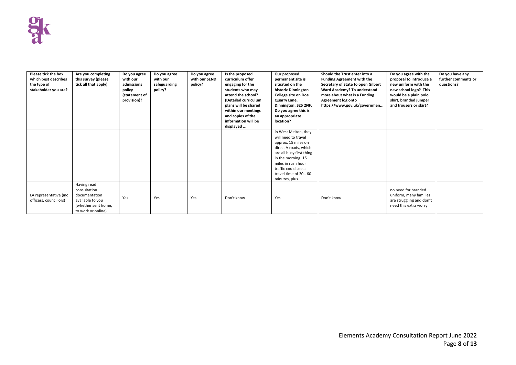| Please tick the box<br>which best describes<br>the type of<br>stakeholder you are? | Are you completing<br>this survey (please<br>tick all that apply)                                             | Do you agree<br>with our<br>admissions<br>policy<br>(statement of<br>provision)? | Do you agree<br>with our<br>safeguarding<br>policy? | Do you agree<br>with our SEND<br>policy? | Is the proposed<br>curriculum offer<br>engaging for the<br>students who may<br>attend the school?<br>(Detailed curriculum<br>plans will be shared<br>within our meetings<br>and copies of the<br>information will be<br>displayed | Our proposed<br>permanent site is<br>situated on the<br>historic Dinnington<br><b>College site on Doe</b><br>Quarry Lane,<br>Dinnington, S25 2NF.<br>Do you agree this is<br>an appropriate<br>location?                               | Should the Trust enter into a<br><b>Funding Agreement with the</b><br>Secretary of State to open Gilbert<br>Ward Academy? To understand<br>more about what is a Funding<br>Agreement log onto<br>https://www.gov.uk/governmen | Do you agree with the<br>proposal to introduce a<br>new uniform with the<br>new school logo? This<br>would be a plain polo<br>shirt, branded jumper<br>and trousers or skirt? | Do you have any<br>further comments or<br>questions? |
|------------------------------------------------------------------------------------|---------------------------------------------------------------------------------------------------------------|----------------------------------------------------------------------------------|-----------------------------------------------------|------------------------------------------|-----------------------------------------------------------------------------------------------------------------------------------------------------------------------------------------------------------------------------------|----------------------------------------------------------------------------------------------------------------------------------------------------------------------------------------------------------------------------------------|-------------------------------------------------------------------------------------------------------------------------------------------------------------------------------------------------------------------------------|-------------------------------------------------------------------------------------------------------------------------------------------------------------------------------|------------------------------------------------------|
|                                                                                    |                                                                                                               |                                                                                  |                                                     |                                          |                                                                                                                                                                                                                                   | in West Melton, they<br>will need to travel<br>approx. 15 miles on<br>direct A roads, which<br>are all busy first thing<br>in the morning. 15<br>miles in rush hour<br>traffic could see a<br>travel time of 30 - 60<br>minutes, plus. |                                                                                                                                                                                                                               |                                                                                                                                                                               |                                                      |
| LA representative (inc<br>officers, councillors)                                   | Having read<br>consultation<br>documentation<br>available to you<br>(whether sent home,<br>to work or online) | Yes                                                                              | Yes                                                 | Yes                                      | Don't know                                                                                                                                                                                                                        | Yes                                                                                                                                                                                                                                    | Don't know                                                                                                                                                                                                                    | no need for branded<br>uniform, many families<br>are struggling and don't<br>need this extra worry                                                                            |                                                      |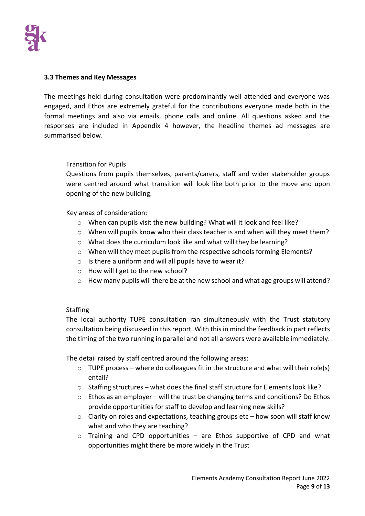

#### **3.3 Themes and Key Messages**

The meetings held during consultation were predominantly well attended and everyone was engaged, and Ethos are extremely grateful for the contributions everyone made both in the formal meetings and also via emails, phone calls and online. All questions asked and the responses are included in Appendix 4 however, the headline themes ad messages are summarised below.

#### Transition for Pupils

Questions from pupils themselves, parents/carers, staff and wider stakeholder groups were centred around what transition will look like both prior to the move and upon opening of the new building.

Key areas of consideration:

- o When can pupils visit the new building? What will it look and feel like?
- $\circ$  When will pupils know who their class teacher is and when will they meet them?
- $\circ$  What does the curriculum look like and what will they be learning?
- o When will they meet pupils from the respective schools forming Elements?
- o Is there a uniform and will all pupils have to wear it?
- o How will I get to the new school?
- o How many pupils will there be at the new school and what age groups will attend?

#### **Staffing**

The local authority TUPE consultation ran simultaneously with the Trust statutory consultation being discussed in this report. With this in mind the feedback in part reflects the timing of the two running in parallel and not all answers were available immediately.

The detail raised by staff centred around the following areas:

- $\circ$  TUPE process where do colleagues fit in the structure and what will their role(s) entail?
- $\circ$  Staffing structures what does the final staff structure for Elements look like?
- $\circ$  Ethos as an employer will the trust be changing terms and conditions? Do Ethos provide opportunities for staff to develop and learning new skills?
- $\circ$  Clarity on roles and expectations, teaching groups etc how soon will staff know what and who they are teaching?
- $\circ$  Training and CPD opportunities are Ethos supportive of CPD and what opportunities might there be more widely in the Trust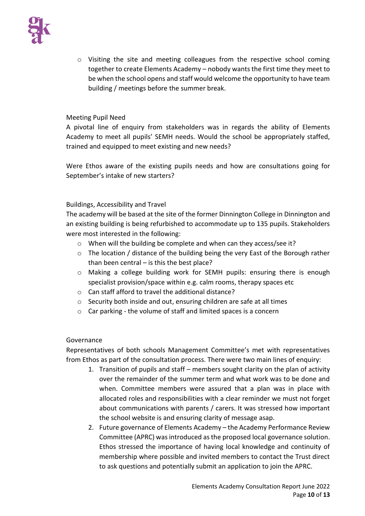

 $\circ$  Visiting the site and meeting colleagues from the respective school coming together to create Elements Academy – nobody wants the first time they meet to be when the school opens and staff would welcome the opportunity to have team building / meetings before the summer break.

#### Meeting Pupil Need

A pivotal line of enquiry from stakeholders was in regards the ability of Elements Academy to meet all pupils' SEMH needs. Would the school be appropriately staffed, trained and equipped to meet existing and new needs?

Were Ethos aware of the existing pupils needs and how are consultations going for September's intake of new starters?

#### Buildings, Accessibility and Travel

The academy will be based at the site of the former Dinnington College in Dinnington and an existing building is being refurbished to accommodate up to 135 pupils. Stakeholders were most interested in the following:

- o When will the building be complete and when can they access/see it?
- o The location / distance of the building being the very East of the Borough rather than been central  $-$  is this the best place?
- o Making a college building work for SEMH pupils: ensuring there is enough specialist provision/space within e.g. calm rooms, therapy spaces etc
- o Can staff afford to travel the additional distance?
- o Security both inside and out, ensuring children are safe at all times
- o Car parking the volume of staff and limited spaces is a concern

#### Governance

Representatives of both schools Management Committee's met with representatives from Ethos as part of the consultation process. There were two main lines of enquiry:

- 1. Transition of pupils and staff members sought clarity on the plan of activity over the remainder of the summer term and what work was to be done and when. Committee members were assured that a plan was in place with allocated roles and responsibilities with a clear reminder we must not forget about communications with parents / carers. It was stressed how important the school website is and ensuring clarity of message asap.
- 2. Future governance of Elements Academy the Academy Performance Review Committee (APRC) was introduced as the proposed local governance solution. Ethos stressed the importance of having local knowledge and continuity of membership where possible and invited members to contact the Trust direct to ask questions and potentially submit an application to join the APRC.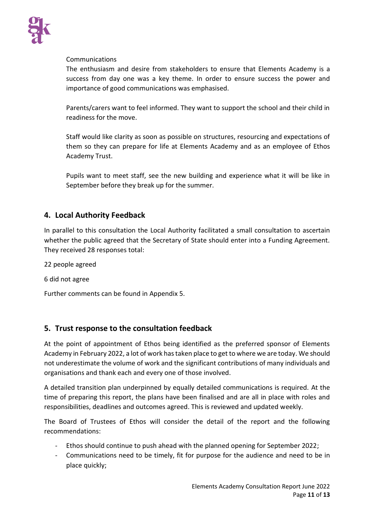

#### Communications

The enthusiasm and desire from stakeholders to ensure that Elements Academy is a success from day one was a key theme. In order to ensure success the power and importance of good communications was emphasised.

Parents/carers want to feel informed. They want to support the school and their child in readiness for the move.

Staff would like clarity as soon as possible on structures, resourcing and expectations of them so they can prepare for life at Elements Academy and as an employee of Ethos Academy Trust.

Pupils want to meet staff, see the new building and experience what it will be like in September before they break up for the summer.

# **4. Local Authority Feedback**

In parallel to this consultation the Local Authority facilitated a small consultation to ascertain whether the public agreed that the Secretary of State should enter into a Funding Agreement. They received 28 responses total:

22 people agreed

6 did not agree

Further comments can be found in Appendix 5.

## **5. Trust response to the consultation feedback**

At the point of appointment of Ethos being identified as the preferred sponsor of Elements Academy in February 2022, a lot of work has taken place to get to where we are today. We should not underestimate the volume of work and the significant contributions of many individuals and organisations and thank each and every one of those involved.

A detailed transition plan underpinned by equally detailed communications is required. At the time of preparing this report, the plans have been finalised and are all in place with roles and responsibilities, deadlines and outcomes agreed. This is reviewed and updated weekly.

The Board of Trustees of Ethos will consider the detail of the report and the following recommendations:

- Ethos should continue to push ahead with the planned opening for September 2022;
- Communications need to be timely, fit for purpose for the audience and need to be in place quickly;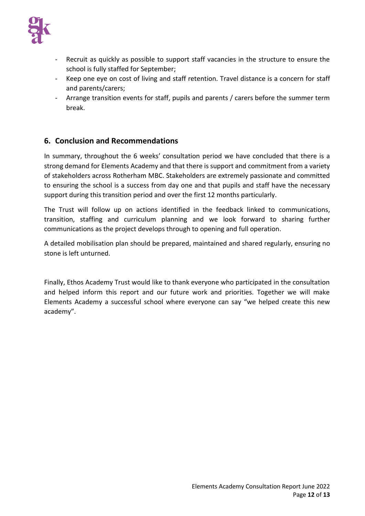

- Recruit as quickly as possible to support staff vacancies in the structure to ensure the school is fully staffed for September;
- Keep one eye on cost of living and staff retention. Travel distance is a concern for staff and parents/carers;
- Arrange transition events for staff, pupils and parents / carers before the summer term break.

# **6. Conclusion and Recommendations**

In summary, throughout the 6 weeks' consultation period we have concluded that there is a strong demand for Elements Academy and that there is support and commitment from a variety of stakeholders across Rotherham MBC. Stakeholders are extremely passionate and committed to ensuring the school is a success from day one and that pupils and staff have the necessary support during this transition period and over the first 12 months particularly.

The Trust will follow up on actions identified in the feedback linked to communications, transition, staffing and curriculum planning and we look forward to sharing further communications as the project develops through to opening and full operation.

A detailed mobilisation plan should be prepared, maintained and shared regularly, ensuring no stone is left unturned.

Finally, Ethos Academy Trust would like to thank everyone who participated in the consultation and helped inform this report and our future work and priorities. Together we will make Elements Academy a successful school where everyone can say "we helped create this new academy".